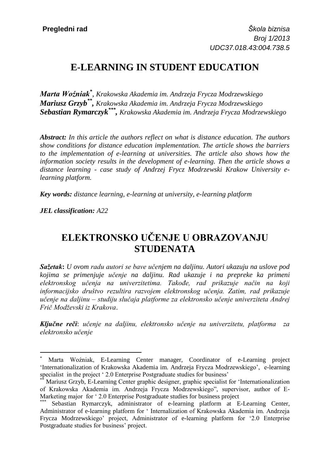# **E-LEARNING IN STUDENT EDUCATION**

*Marta Woźniak\** , *Krakowska Akademia im. Andrzeja Frycza Modrzewskiego Mariusz Grzyb\*\* , Krakowska Akademia im. Andrzeja Frycza Modrzewskiego Sebastian Rymarczyk\*\*\* , Krakowska Akademia im. Andrzeja Frycza Modrzewskiego*

*Abstract: In this article the authors reflect on what is distance education. The authors show conditions for distance education implementation. The article shows the barriers to the implementation of e-learning at universities. The article also shows how the information society results in the development of e-learning. Then the article shows a distance learning - case study of Andrzej Frycz Modrzewski Krakow University elearning platform.*

*Key words: distance learning, e-learning at university, e-learning platform*

*JEL classification: A22*

 $\overline{a}$ 

## **ELEKTRONSKO UČENJE U OBRAZOVANJU STUDENATA**

*Sažetak***:** *U ovom radu autori se bave učenjem na daljinu. Autori ukazuju na uslove pod kojima se primenjuje učenje na daljinu. Rad ukazuje i na prepreke ka primeni elektronskog učenja na univerzitetima. Takođe, rad prikazuje način na koji informacijsko društvo rezultira razvojem elektronskog učenja. Zatim, rad prikazuje učenje na daljinu – studiju slučaja platforme za elektronsko učenje univerziteta Andrej Frič Modževski iz Krakova*.

*Ključne reči*: *učenje na daljinu, elektronsko učenje na univerzitetu, platforma za elektronsko učenje*

Marta Woźniak, E-Learning Center manager, Coordinator of e-Learning project 'Internationalization of Krakowska Akademia im. Andrzeja Frycza Modrzewskiego', e-learning specialist in the project ' 2.0 Enterprise Postgraduate studies for business'

Mariusz Grzyb, E-Learning Center graphic designer, graphic specialist for 'Internationalization of Krakowska Akademia im. Andrzeja Frycza Modrzewskiego", supervisor, author of E-Marketing major for ' 2.0 Enterprise Postgraduate studies for business project

Sebastian Rymarczyk, administrator of e-learning platform at E-Learning Center, Administrator of e-learning platform for ' Internalization of Krakowska Akademia im. Andrzeja Frycza Modrzewskiego' project, Administrator of e-learning platform for '2.0 Enterprise Postgraduate studies for business' project.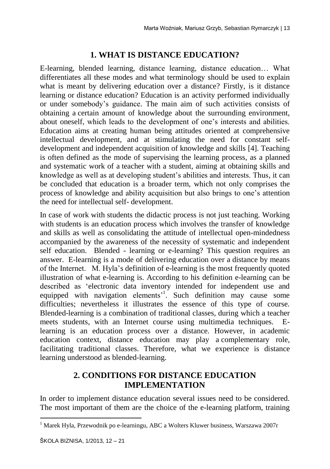### **1. WHAT IS DISTANCE EDUCATION?**

E-learning, blended learning, distance learning, distance education… What differentiates all these modes and what terminology should be used to explain what is meant by delivering education over a distance? Firstly, is it distance learning or distance education? Education is an activity performed individually or under somebody's guidance. The main aim of such activities consists of obtaining a certain amount of knowledge about the surrounding environment, about oneself, which leads to the development of one's interests and abilities. Education aims at creating human being attitudes oriented at comprehensive intellectual development, and at stimulating the need for constant selfdevelopment and independent acquisition of knowledge and skills [4]. Teaching is often defined as the mode of supervising the learning process, as a planned and systematic work of a teacher with a student, aiming at obtaining skills and knowledge as well as at developing student's abilities and interests. Thus, it can be concluded that education is a broader term, which not only comprises the process of knowledge and ability acquisition but also brings to one's attention the need for intellectual self- development.

In case of work with students the didactic process is not just teaching. Working with students is an education process which involves the transfer of knowledge and skills as well as consolidating the attitude of intellectual open-mindedness accompanied by the awareness of the necessity of systematic and independent self education. Blended - learning or e-learning? This question requires an answer. E-learning is a mode of delivering education over a distance by means of the Internet. M. Hyla's definition of e-learning is the most frequently quoted illustration of what e-learning is. According to his definition e-learning can be described as 'electronic data inventory intended for independent use and equipped with navigation elements<sup>1</sup>. Such definition may cause some difficulties; nevertheless it illustrates the essence of this type of course. Blended-learning is a combination of traditional classes, during which a teacher meets students, with an Internet course using multimedia techniques. learning is an education process over a distance. However, in academic education context, distance education may play a complementary role, facilitating traditional classes. Therefore, what we experience is distance learning understood as blended-learning.

### **2. CONDITIONS FOR DISTANCE EDUCATION IMPLEMENTATION**

In order to implement distance education several issues need to be considered. The most important of them are the choice of the e-learning platform, training

 $\overline{\phantom{a}}$ 

<sup>1</sup> Marek Hyla, Przewodnik po e-learningu, ABC a Wolters Kluwer business, Warszawa 2007r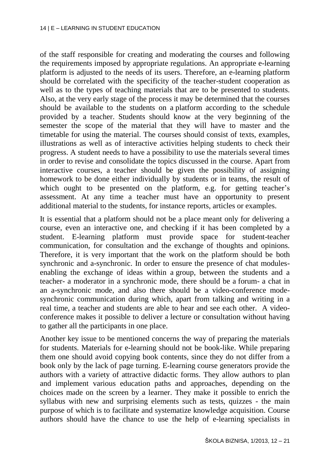of the staff responsible for creating and moderating the courses and following the requirements imposed by appropriate regulations. An appropriate e-learning platform is adjusted to the needs of its users. Therefore, an e-learning platform should be correlated with the specificity of the teacher-student cooperation as well as to the types of teaching materials that are to be presented to students. Also, at the very early stage of the process it may be determined that the courses should be available to the students on a platform according to the schedule provided by a teacher. Students should know at the very beginning of the semester the scope of the material that they will have to master and the timetable for using the material. The courses should consist of texts, examples, illustrations as well as of interactive activities helping students to check their progress. A student needs to have a possibility to use the materials several times in order to revise and consolidate the topics discussed in the course. Apart from interactive courses, a teacher should be given the possibility of assigning homework to be done either individually by students or in teams, the result of which ought to be presented on the platform, e.g. for getting teacher's assessment. At any time a teacher must have an opportunity to present additional material to the students, for instance reports, articles or examples.

It is essential that a platform should not be a place meant only for delivering a course, even an interactive one, and checking if it has been completed by a student. E-learning platform must provide space for student-teacher communication, for consultation and the exchange of thoughts and opinions. Therefore, it is very important that the work on the platform should be both synchronic and a-synchronic. In order to ensure the presence of chat modulesenabling the exchange of ideas within a group, between the students and a teacher- a moderator in a synchronic mode, there should be a forum- a chat in an a-synchronic mode, and also there should be a video-conference modesynchronic communication during which, apart from talking and writing in a real time, a teacher and students are able to hear and see each other. A videoconference makes it possible to deliver a lecture or consultation without having to gather all the participants in one place.

Another key issue to be mentioned concerns the way of preparing the materials for students. Materials for e-learning should not be book-like. While preparing them one should avoid copying book contents, since they do not differ from a book only by the lack of page turning. E-learning course generators provide the authors with a variety of attractive didactic forms. They allow authors to plan and implement various education paths and approaches, depending on the choices made on the screen by a learner. They make it possible to enrich the syllabus with new and surprising elements such as tests, quizzes - the main purpose of which is to facilitate and systematize knowledge acquisition. Course authors should have the chance to use the help of e-learning specialists in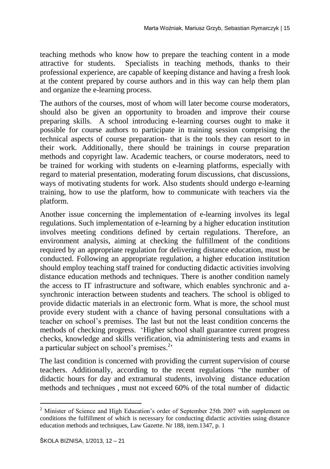teaching methods who know how to prepare the teaching content in a mode attractive for students. Specialists in teaching methods, thanks to their professional experience, are capable of keeping distance and having a fresh look at the content prepared by course authors and in this way can help them plan and organize the e-learning process.

The authors of the courses, most of whom will later become course moderators, should also be given an opportunity to broaden and improve their course preparing skills. A school introducing e-learning courses ought to make it possible for course authors to participate in training session comprising the technical aspects of course preparation- that is the tools they can resort to in their work. Additionally, there should be trainings in course preparation methods and copyright law. Academic teachers, or course moderators, need to be trained for working with students on e-learning platforms, especially with regard to material presentation, moderating forum discussions, chat discussions, ways of motivating students for work. Also students should undergo e-learning training, how to use the platform, how to communicate with teachers via the platform.

Another issue concerning the implementation of e-learning involves its legal regulations. Such implementation of e-learning by a higher education institution involves meeting conditions defined by certain regulations. Therefore, an environment analysis, aiming at checking the fulfillment of the conditions required by an appropriate regulation for delivering distance education, must be conducted. Following an appropriate regulation, a higher education institution should employ teaching staff trained for conducting didactic activities involving distance education methods and techniques. There is another condition namely the access to IT infrastructure and software, which enables synchronic and asynchronic interaction between students and teachers. The school is obliged to provide didactic materials in an electronic form. What is more, the school must provide every student with a chance of having personal consultations with a teacher on school's premises. The last but not the least condition concerns the methods of checking progress. 'Higher school shall guarantee current progress checks, knowledge and skills verification, via administering tests and exams in a particular subject on school's premises. $2$ 

The last condition is concerned with providing the current supervision of course teachers. Additionally, according to the recent regulations "the number of didactic hours for day and extramural students, involving distance education methods and techniques , must not exceed 60% of the total number of didactic

 $\overline{\phantom{a}}$ 

<sup>&</sup>lt;sup>2</sup> Minister of Science and High Education's order of September 25th 2007 with supplement on conditions the fulfillment of which is necessary for conducting didactic activities using distance education methods and techniques, Law Gazette. Nr 188, item.1347, p. 1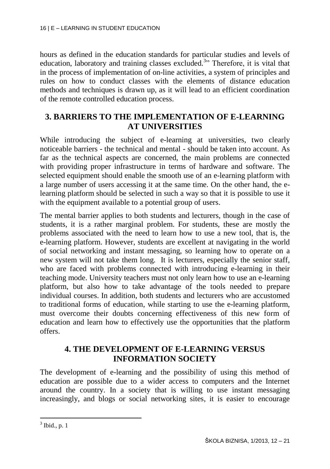hours as defined in the education standards for particular studies and levels of education, laboratory and training classes excluded.<sup>3</sup>" Therefore, it is vital that in the process of implementation of on-line activities, a system of principles and rules on how to conduct classes with the elements of distance education methods and techniques is drawn up, as it will lead to an efficient coordination of the remote controlled education process.

### **3. BARRIERS TO THE IMPLEMENTATION OF E-LEARNING AT UNIVERSITIES**

While introducing the subject of e-learning at universities, two clearly noticeable barriers - the technical and mental - should be taken into account. As far as the technical aspects are concerned, the main problems are connected with providing proper infrastructure in terms of hardware and software. The selected equipment should enable the smooth use of an e-learning platform with a large number of users accessing it at the same time. On the other hand, the elearning platform should be selected in such a way so that it is possible to use it with the equipment available to a potential group of users.

The mental barrier applies to both students and lecturers, though in the case of students, it is a rather marginal problem. For students, these are mostly the problems associated with the need to learn how to use a new tool, that is, the e-learning platform. However, students are excellent at navigating in the world of social networking and instant messaging, so learning how to operate on a new system will not take them long. It is lecturers, especially the senior staff, who are faced with problems connected with introducing e-learning in their teaching mode. University teachers must not only learn how to use an e-learning platform, but also how to take advantage of the tools needed to prepare individual courses. In addition, both students and lecturers who are accustomed to traditional forms of education, while starting to use the e-learning platform, must overcome their doubts concerning effectiveness of this new form of education and learn how to effectively use the opportunities that the platform offers.

### **4. THE DEVELOPMENT OF E-LEARNING VERSUS INFORMATION SOCIETY**

The development of e-learning and the possibility of using this method of education are possible due to a wider access to computers and the Internet around the country. In a society that is willing to use instant messaging increasingly, and blogs or social networking sites, it is easier to encourage

 $3$  Ibid., p. 1

 $\overline{\phantom{a}}$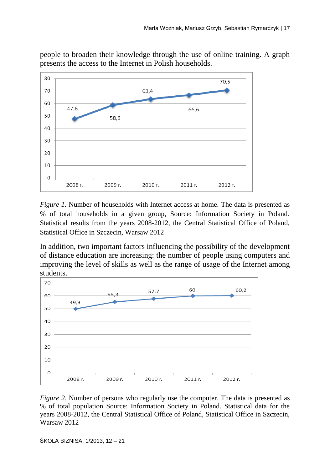people to broaden their knowledge through the use of online training. A graph presents the access to the Internet in Polish households.



*Figure 1.* Number of households with Internet access at home. The data is presented as % of total households in a given group, Source: Information Society in Poland. Statistical results from the years 2008-2012, the Central Statistical Office of Poland, Statistical Office in Szczecin, Warsaw 2012

In addition, two important factors influencing the possibility of the development of distance education are increasing: the number of people using computers and improving the level of skills as well as the range of usage of the Internet among students.



*Figure 2*. Number of persons who regularly use the computer. The data is presented as % of total population Source: Information Society in Poland. Statistical data for the years 2008-2012, the Central Statistical Office of Poland, Statistical Office in Szczecin, Warsaw 2012

ŠKOLA BIZNISA, 1/2013, 12 – 21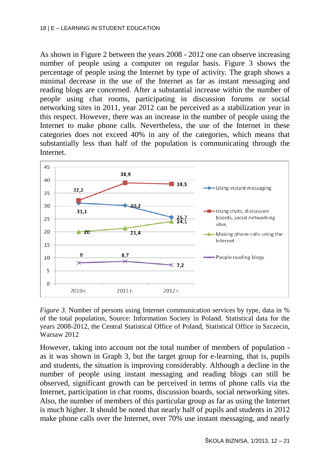As shown in Figure 2 between the years 2008 - 2012 one can observe increasing number of people using a computer on regular basis. Figure 3 shows the percentage of people using the Internet by type of activity. The graph shows a minimal decrease in the use of the Internet as far as instant messaging and reading blogs are concerned. After a substantial increase within the number of people using chat rooms, participating in discussion forums or social networking sites in 2011, year 2012 can be perceived as a stabilization year in this respect. However, there was an increase in the number of people using the Internet to make phone calls. Nevertheless, the use of the Internet in these categories does not exceed 40% in any of the categories, which means that substantially less than half of the population is communicating through the Internet.



*Figure 3.* Number of persons using Internet communication services by type, data in % of the total population, Source: Information Society in Poland. Statistical data for the years 2008-2012, the Central Statistical Office of Poland, Statistical Office in Szczecin, Warsaw 2012

However, taking into account not the total number of members of population as it was shown in Graph 3, but the target group for e-learning, that is, pupils and students, the situation is improving considerably. Although a decline in the number of people using instant messaging and reading blogs can still be observed, significant growth can be perceived in terms of phone calls via the Internet, participation in chat rooms, discussion boards, social networking sites. Also, the number of members of this particular group as far as using the Internet is much higher. It should be noted that nearly half of pupils and students in 2012 make phone calls over the Internet, over 70% use instant messaging, and nearly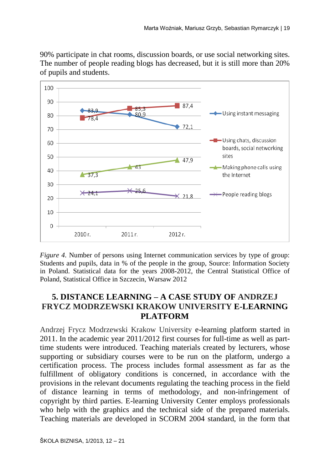90% participate in chat rooms, discussion boards, or use social networking sites. The number of people reading blogs has decreased, but it is still more than 20% of pupils and students.



*Figure 4.* Number of persons using Internet communication services by type of group: Students and pupils, data in % of the people in the group, Source: Information Society in Poland. Statistical data for the years 2008-2012, the Central Statistical Office of Poland, Statistical Office in Szczecin, Warsaw 2012

### **5. DISTANCE LEARNING – A CASE STUDY OF ANDRZEJ FRYCZ MODRZEWSKI KRAKOW UNIVERSITY E-LEARNING PLATFORM**

Andrzej Frycz Modrzewski Krakow University e-learning platform started in 2011. In the academic year 2011/2012 first courses for full-time as well as parttime students were introduced. Teaching materials created by lecturers, whose supporting or subsidiary courses were to be run on the platform, undergo a certification process. The process includes formal assessment as far as the fulfillment of obligatory conditions is concerned, in accordance with the provisions in the relevant documents regulating the teaching process in the field of distance learning in terms of methodology, and non-infringement of copyright by third parties. E-learning University Center employs professionals who help with the graphics and the technical side of the prepared materials. Teaching materials are developed in SCORM 2004 standard, in the form that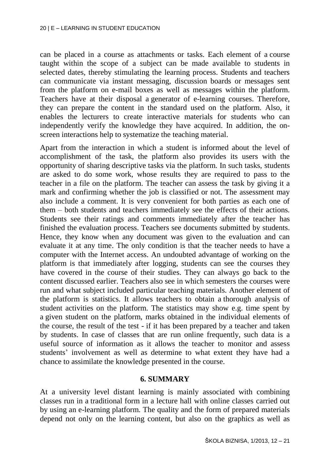can be placed in a course as attachments or tasks. Each element of a course taught within the scope of a subject can be made available to students in selected dates, thereby stimulating the learning process. Students and teachers can communicate via instant messaging, discussion boards or messages sent from the platform on e-mail boxes as well as messages within the platform. Teachers have at their disposal a generator of e-learning courses. Therefore, they can prepare the content in the standard used on the platform. Also, it enables the lecturers to create interactive materials for students who can independently verify the knowledge they have acquired. In addition, the onscreen interactions help to systematize the teaching material.

Apart from the interaction in which a student is informed about the level of accomplishment of the task, the platform also provides its users with the opportunity of sharing descriptive tasks via the platform. In such tasks, students are asked to do some work, whose results they are required to pass to the teacher in a file on the platform. The teacher can assess the task by giving it a mark and confirming whether the job is classified or not. The assessment may also include a comment. It is very convenient for both parties as each one of them – both students and teachers immediately see the effects of their actions. Students see their ratings and comments immediately after the teacher has finished the evaluation process. Teachers see documents submitted by students. Hence, they know when any document was given to the evaluation and can evaluate it at any time. The only condition is that the teacher needs to have a computer with the Internet access. An undoubted advantage of working on the platform is that immediately after logging, students can see the courses they have covered in the course of their studies. They can always go back to the content discussed earlier. Teachers also see in which semesters the courses were run and what subject included particular teaching materials. Another element of the platform is statistics. It allows teachers to obtain a thorough analysis of student activities on the platform. The statistics may show e.g. time spent by a given student on the platform, marks obtained in the individual elements of the course, the result of the test - if it has been prepared by a teacher and taken by students. In case of classes that are run online frequently, such data is a useful source of information as it allows the teacher to monitor and assess students' involvement as well as determine to what extent they have had a chance to assimilate the knowledge presented in the course.

#### **6. SUMMARY**

At a university level distant learning is mainly associated with combining classes run in a traditional form in a lecture hall with online classes carried out by using an e-learning platform. The quality and the form of prepared materials depend not only on the learning content, but also on the graphics as well as